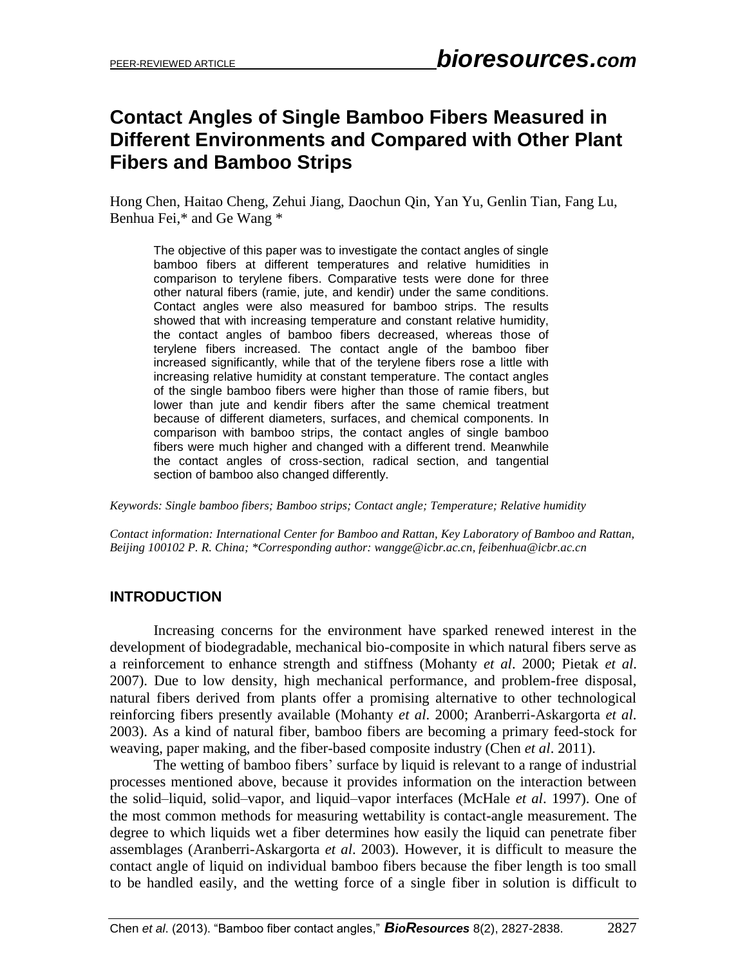# **Contact Angles of Single Bamboo Fibers Measured in Different Environments and Compared with Other Plant Fibers and Bamboo Strips**

Hong Chen, Haitao Cheng, Zehui Jiang, Daochun Qin, Yan Yu, Genlin Tian, Fang Lu, Benhua Fei,\* and Ge Wang \*

The objective of this paper was to investigate the contact angles of single bamboo fibers at different temperatures and relative humidities in comparison to terylene fibers. Comparative tests were done for three other natural fibers (ramie, jute, and kendir) under the same conditions. Contact angles were also measured for bamboo strips. The results showed that with increasing temperature and constant relative humidity, the contact angles of bamboo fibers decreased, whereas those of terylene fibers increased. The contact angle of the bamboo fiber increased significantly, while that of the terylene fibers rose a little with increasing relative humidity at constant temperature. The contact angles of the single bamboo fibers were higher than those of ramie fibers, but lower than jute and kendir fibers after the same chemical treatment because of different diameters, surfaces, and chemical components. In comparison with bamboo strips, the contact angles of single bamboo fibers were much higher and changed with a different trend. Meanwhile the contact angles of cross-section, radical section, and tangential section of bamboo also changed differently.

*Keywords: Single bamboo fibers; Bamboo strips; Contact angle; Temperature; Relative humidity*

*Contact information: International Center for Bamboo and Rattan, Key Laboratory of Bamboo and Rattan, Beijing 100102 P. R. China; \*Corresponding author: [wangge@icbr.ac.cn,](mailto:wangge@icbr.ac.cn) [feibenhua@icbr.ac.cn](mailto:feibenhua@icbr.ac.cn)*

## **INTRODUCTION**

 Increasing concerns for the environment have sparked renewed interest in the development of biodegradable, mechanical bio-composite in which natural fibers serve as a reinforcement to enhance strength and stiffness (Mohanty *et al*. 2000; Pietak *et al*. 2007). Due to low density, high mechanical performance, and problem-free disposal, natural fibers derived from plants offer a promising alternative to other technological reinforcing fibers presently available (Mohanty *et al*. 2000; Aranberri-Askargorta *et al*. 2003). As a kind of natural fiber, bamboo fibers are becoming a primary feed-stock for weaving, paper making, and the fiber-based composite industry (Chen *et al*. 2011).

 The wetting of bamboo fibers' surface by liquid is relevant to a range of industrial processes mentioned above, because it provides information on the interaction between the solid–liquid, solid–vapor, and liquid–vapor interfaces (McHale *et al*. 1997). One of the most common methods for measuring wettability is contact-angle measurement. The degree to which liquids wet a fiber determines how easily the liquid can penetrate fiber assemblages (Aranberri-Askargorta *et al*. 2003). However, it is difficult to measure the contact angle of liquid on individual bamboo fibers because the fiber length is too small to be handled easily, and the wetting force of a single fiber in solution is difficult to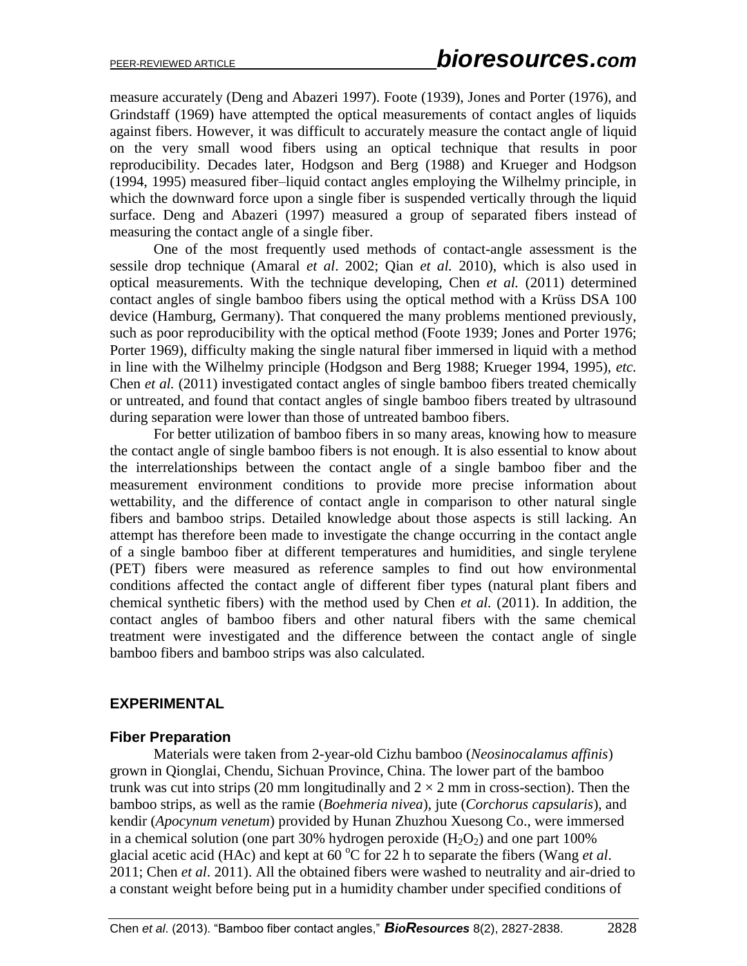measure accurately (Deng and Abazeri 1997). Foote (1939), Jones and Porter (1976), and Grindstaff (1969) have attempted the optical measurements of contact angles of liquids against fibers. However, it was difficult to accurately measure the contact angle of liquid on the very small wood fibers using an optical technique that results in poor reproducibility. Decades later, Hodgson and Berg (1988) and Krueger and Hodgson (1994, 1995) measured fiber–liquid contact angles employing the Wilhelmy principle, in which the downward force upon a single fiber is suspended vertically through the liquid surface. Deng and Abazeri (1997) measured a group of separated fibers instead of measuring the contact angle of a single fiber.

 One of the most frequently used methods of contact-angle assessment is the sessile drop technique (Amaral *et al*. 2002; Qian *et al.* 2010), which is also used in optical measurements. With the technique developing, Chen *et al.* (2011) determined contact angles of single bamboo fibers using the optical method with a Krüss DSA 100 device (Hamburg, Germany). That conquered the many problems mentioned previously, such as poor reproducibility with the optical method (Foote 1939; Jones and Porter 1976; Porter 1969), difficulty making the single natural fiber immersed in liquid with a method in line with the Wilhelmy principle (Hodgson and Berg 1988; Krueger 1994, 1995), *etc.* Chen *et al.* (2011) investigated contact angles of single bamboo fibers treated chemically or untreated, and found that contact angles of single bamboo fibers treated by ultrasound during separation were lower than those of untreated bamboo fibers.

 For better utilization of bamboo fibers in so many areas, knowing how to measure the contact angle of single bamboo fibers is not enough. It is also essential to know about the interrelationships between the contact angle of a single bamboo fiber and the measurement environment conditions to provide more precise information about wettability, and the difference of contact angle in comparison to other natural single fibers and bamboo strips. Detailed knowledge about those aspects is still lacking. An attempt has therefore been made to investigate the change occurring in the contact angle of a single bamboo fiber at different temperatures and humidities, and single terylene (PET) fibers were measured as reference samples to find out how environmental conditions affected the contact angle of different fiber types (natural plant fibers and chemical synthetic fibers) with the method used by Chen *et al.* (2011). In addition, the contact angles of bamboo fibers and other natural fibers with the same chemical treatment were investigated and the difference between the contact angle of single bamboo fibers and bamboo strips was also calculated.

## **EXPERIMENTAL**

#### **Fiber Preparation**

 Materials were taken from 2-year-old Cizhu bamboo (*Neosinocalamus affinis*) grown in Qionglai, Chendu, Sichuan Province, China. The lower part of the bamboo trunk was cut into strips (20 mm longitudinally and  $2 \times 2$  mm in cross-section). Then the bamboo strips, as well as the ramie (*Boehmeria nivea*), jute (*Corchorus capsularis*), and kendir (*Apocynum venetum*) provided by Hunan Zhuzhou Xuesong Co., were immersed in a chemical solution (one part 30% hydrogen peroxide  $(H_2O_2)$  and one part 100% glacial acetic acid (HAc) and kept at  $60^{\circ}$ C for 22 h to separate the fibers (Wang *et al.*) 2011; Chen *et al*. 2011). All the obtained fibers were washed to neutrality and air-dried to a constant weight before being put in a humidity chamber under specified conditions of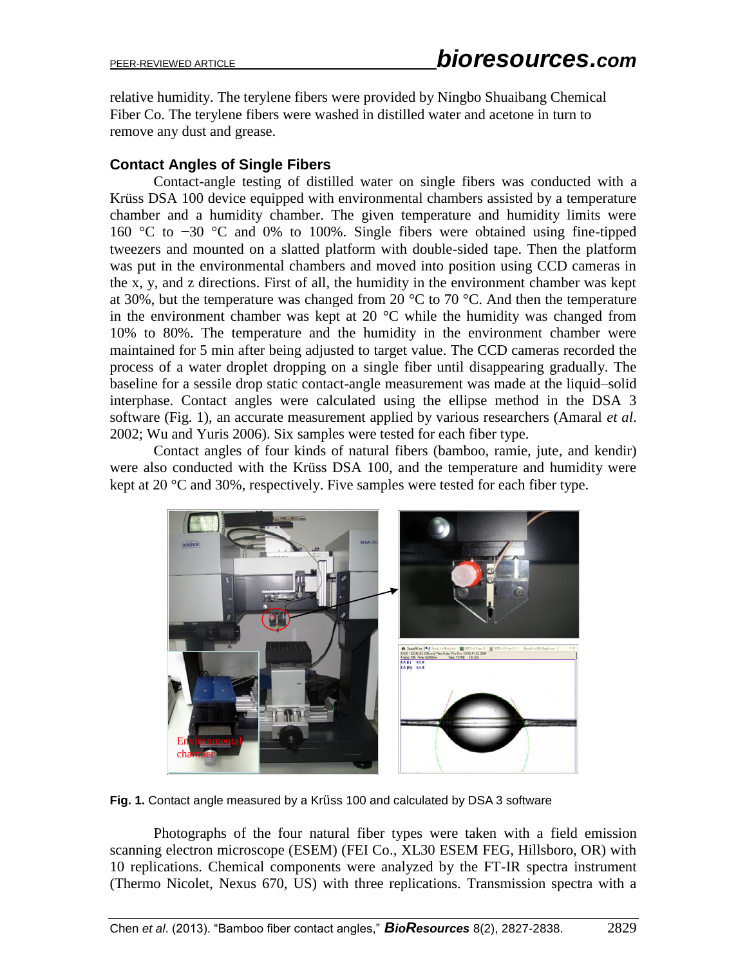relative humidity. The terylene fibers were provided by Ningbo Shuaibang Chemical Fiber Co. The terylene fibers were washed in distilled water and acetone in turn to remove any dust and grease.

## **Contact Angles of Single Fibers**

 Contact-angle testing of distilled water on single fibers was conducted with a Krüss DSA 100 device equipped with environmental chambers assisted by a temperature chamber and a humidity chamber. The given temperature and humidity limits were 160 °C to −30 °C and 0% to 100%. Single fibers were obtained using fine-tipped tweezers and mounted on a slatted platform with double-sided tape. Then the platform was put in the environmental chambers and moved into position using CCD cameras in the x, y, and z directions. First of all, the humidity in the environment chamber was kept at 30%, but the temperature was changed from 20 °C to 70 °C. And then the temperature in the environment chamber was kept at 20  $^{\circ}$ C while the humidity was changed from 10% to 80%. The temperature and the humidity in the environment chamber were maintained for 5 min after being adjusted to target value. The CCD cameras recorded the process of a water droplet dropping on a single fiber until disappearing gradually. The baseline for a sessile drop static contact-angle measurement was made at the liquid–solid interphase. Contact angles were calculated using the ellipse method in the DSA 3 software (Fig. 1), an accurate measurement applied by various researchers (Amaral *et al*. 2002; Wu and Yuris 2006). Six samples were tested for each fiber type.

 Contact angles of four kinds of natural fibers (bamboo, ramie, jute, and kendir) were also conducted with the Krüss DSA 100, and the temperature and humidity were kept at 20 °C and 30%, respectively. Five samples were tested for each fiber type.



**Fig. 1.** Contact angle measured by a Krüss 100 and calculated by DSA 3 software

 Photographs of the four natural fiber types were taken with a field emission scanning electron microscope (ESEM) (FEI Co., XL30 ESEM FEG, Hillsboro, OR) with 10 replications. Chemical components were analyzed by the FT-IR spectra instrument (Thermo Nicolet, Nexus 670, US) with three replications. Transmission spectra with a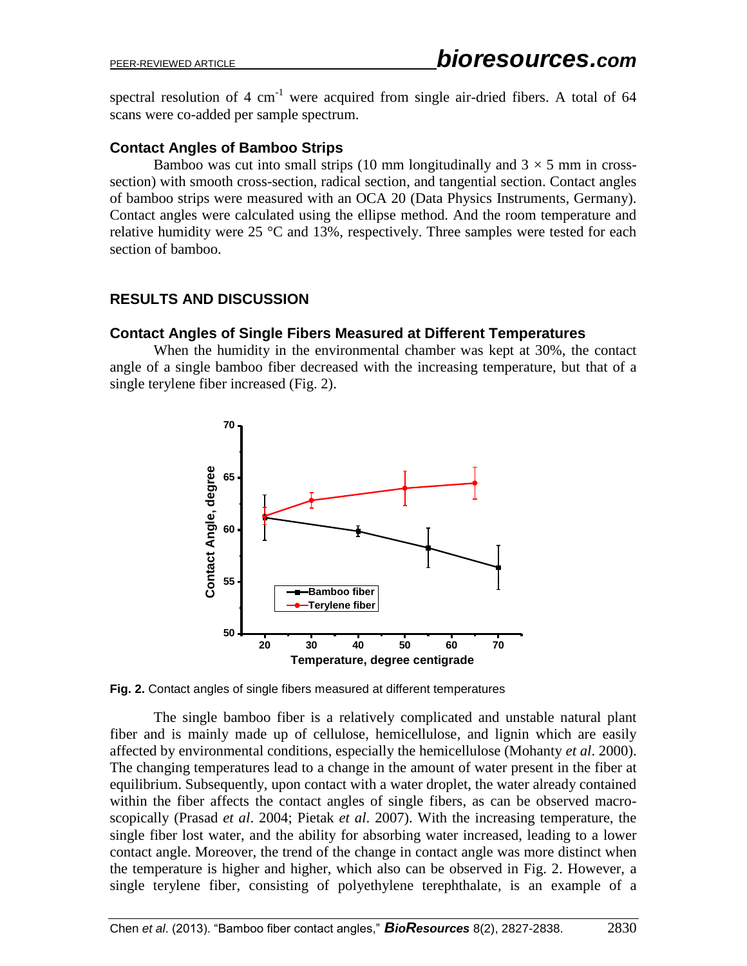spectral resolution of 4  $cm^{-1}$  were acquired from single air-dried fibers. A total of 64 scans were co-added per sample spectrum.

## **Contact Angles of Bamboo Strips**

Bamboo was cut into small strips (10 mm longitudinally and  $3 \times 5$  mm in crosssection) with smooth cross-section, radical section, and tangential section. Contact angles of bamboo strips were measured with an OCA 20 (Data Physics Instruments, Germany). Contact angles were calculated using the ellipse method. And the room temperature and relative humidity were 25 °C and 13%, respectively. Three samples were tested for each section of bamboo.

# **RESULTS AND DISCUSSION**

### **Contact Angles of Single Fibers Measured at Different Temperatures**

When the humidity in the environmental chamber was kept at 30%, the contact angle of a single bamboo fiber decreased with the increasing temperature, but that of a single terylene fiber increased (Fig. 2).



**Fig. 2.** Contact angles of single fibers measured at different temperatures

 The single bamboo fiber is a relatively complicated and unstable natural plant fiber and is mainly made up of cellulose, hemicellulose, and lignin which are easily affected by environmental conditions, especially the hemicellulose (Mohanty *et al*. 2000). The changing temperatures lead to a change in the amount of water present in the fiber at equilibrium. Subsequently, upon contact with a water droplet, the water already contained within the fiber affects the contact angles of single fibers, as can be observed macroscopically (Prasad *et al*. 2004; Pietak *et al*. 2007). With the increasing temperature, the single fiber lost water, and the ability for absorbing water increased, leading to a lower contact angle. Moreover, the trend of the change in contact angle was more distinct when the temperature is higher and higher, which also can be observed in Fig. 2. However, a single terylene fiber, consisting of polyethylene terephthalate, is an example of a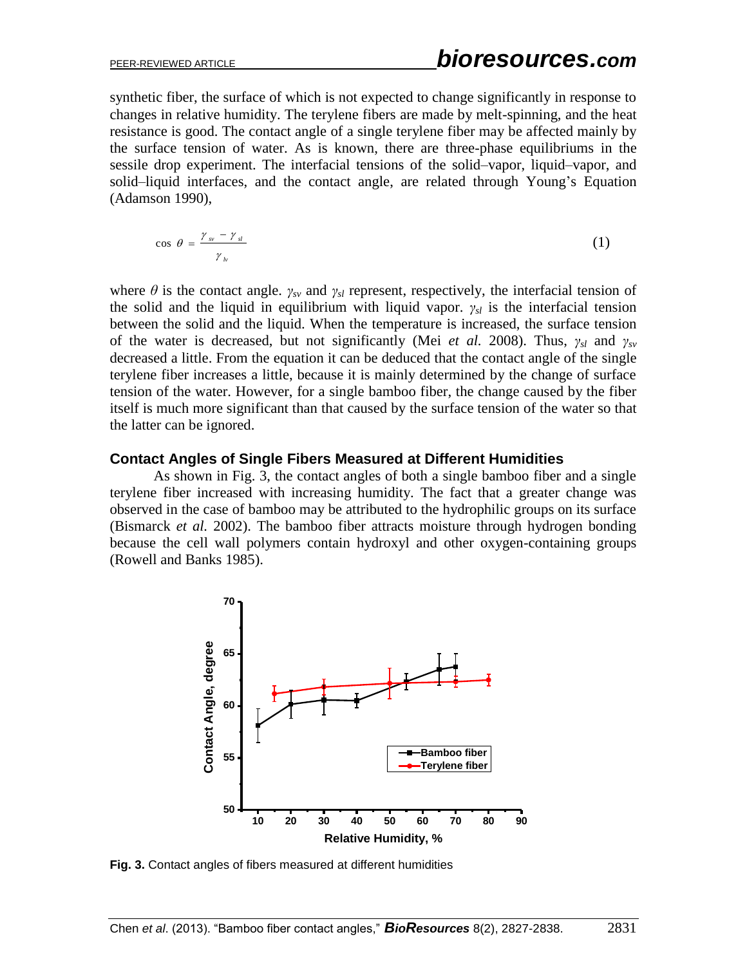synthetic fiber, the surface of which is not expected to change significantly in response to changes in relative humidity. The terylene fibers are made by melt-spinning, and the heat resistance is good. The contact angle of a single terylene fiber may be affected mainly by the surface tension of water. As is known, there are three-phase equilibriums in the sessile drop experiment. The interfacial tensions of the solid–vapor, liquid–vapor, and solid–liquid interfaces, and the contact angle, are related through Young's Equation (Adamson 1990),

$$
\cos \theta = \frac{\gamma_{\text{sv}} - \gamma_{\text{sl}}}{\gamma_{\text{lv}}} \tag{1}
$$

where  $\theta$  is the contact angle.  $\gamma_{sv}$  and  $\gamma_{sl}$  represent, respectively, the interfacial tension of the solid and the liquid in equilibrium with liquid vapor. *γsl* is the interfacial tension between the solid and the liquid. When the temperature is increased, the surface tension of the water is decreased, but not significantly (Mei *et al.* 2008). Thus, *γsl* and *γsv* decreased a little. From the equation it can be deduced that the contact angle of the single terylene fiber increases a little, because it is mainly determined by the change of surface tension of the water. However, for a single bamboo fiber, the change caused by the fiber itself is much more significant than that caused by the surface tension of the water so that the latter can be ignored.

#### **Contact Angles of Single Fibers Measured at Different Humidities**

As shown in Fig. 3, the contact angles of both a single bamboo fiber and a single terylene fiber increased with increasing humidity. The fact that a greater change was observed in the case of bamboo may be attributed to the hydrophilic groups on its surface (Bismarck *et al.* 2002). The bamboo fiber attracts moisture through hydrogen bonding because the cell wall polymers contain hydroxyl and other oxygen-containing groups (Rowell and Banks 1985).



**Fig. 3.** Contact angles of fibers measured at different humidities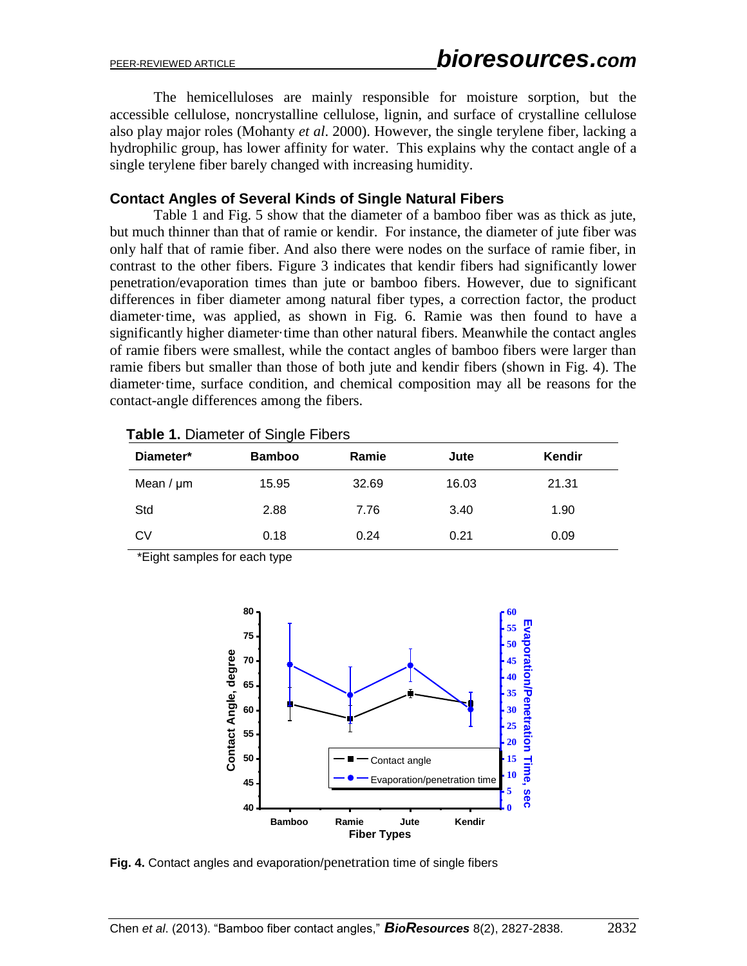The hemicelluloses are mainly responsible for moisture sorption, but the accessible cellulose, noncrystalline cellulose, lignin, and surface of crystalline cellulose also play major roles (Mohanty *et al*. 2000). However, the single terylene fiber, lacking a hydrophilic group, has lower affinity for water. This explains why the contact angle of a single terylene fiber barely changed with increasing humidity.

## **Contact Angles of Several Kinds of Single Natural Fibers**

Table 1 and Fig. 5 show that the diameter of a bamboo fiber was as thick as jute, but much thinner than that of ramie or kendir. For instance, the diameter of jute fiber was only half that of ramie fiber. And also there were nodes on the surface of ramie fiber, in contrast to the other fibers. Figure 3 indicates that kendir fibers had significantly lower penetration/evaporation times than jute or bamboo fibers. However, due to significant differences in fiber diameter among natural fiber types, a correction factor, the product diameter·time, was applied, as shown in Fig. 6. Ramie was then found to have a significantly higher diameter·time than other natural fibers. Meanwhile the contact angles of ramie fibers were smallest, while the contact angles of bamboo fibers were larger than ramie fibers but smaller than those of both jute and kendir fibers (shown in Fig. 4). The diameter·time, surface condition, and chemical composition may all be reasons for the contact-angle differences among the fibers.

| <b>TURNIS II DIUITIONOI OI OIITUIO I INOIO</b> |               |       |       |        |
|------------------------------------------------|---------------|-------|-------|--------|
| Diameter*                                      | <b>Bamboo</b> | Ramie | Jute  | Kendir |
| Mean $/ \mu$ m                                 | 15.95         | 32.69 | 16.03 | 21.31  |
| Std                                            | 2.88          | 7.76  | 3.40  | 1.90   |
| <b>CV</b>                                      | 0.18          | 0.24  | 0.21  | 0.09   |

**Table 1.** Diameter of Single Fibers

\*Eight samples for each type



**Fig. 4.** Contact angles and evaporation/penetration time of single fibers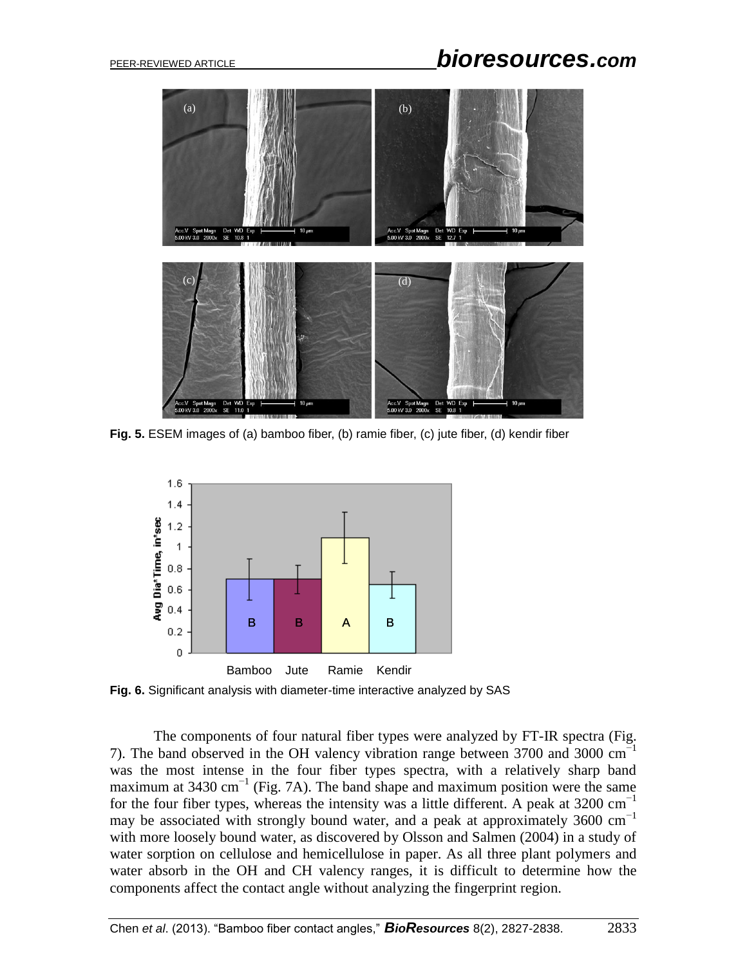

**Fig. 5.** ESEM images of (a) bamboo fiber, (b) ramie fiber, (c) jute fiber, (d) kendir fiber



**Fig. 6.** Significant analysis with diameter-time interactive analyzed by SAS

The components of four natural fiber types were analyzed by FT-IR spectra (Fig. 7). The band observed in the OH valency vibration range between 3700 and 3000 cm−1 was the most intense in the four fiber types spectra, with a relatively sharp band maximum at 3430 cm<sup>-1</sup> (Fig. 7A). The band shape and maximum position were the same for the four fiber types, whereas the intensity was a little different. A peak at 3200  $cm^{-1}$ may be associated with strongly bound water, and a peak at approximately 3600  $cm^{-1}$ with more loosely bound water, as discovered by Olsson and Salmen (2004) in a study of water sorption on cellulose and hemicellulose in paper. As all three plant polymers and water absorb in the OH and CH valency ranges, it is difficult to determine how the components affect the contact angle without analyzing the fingerprint region.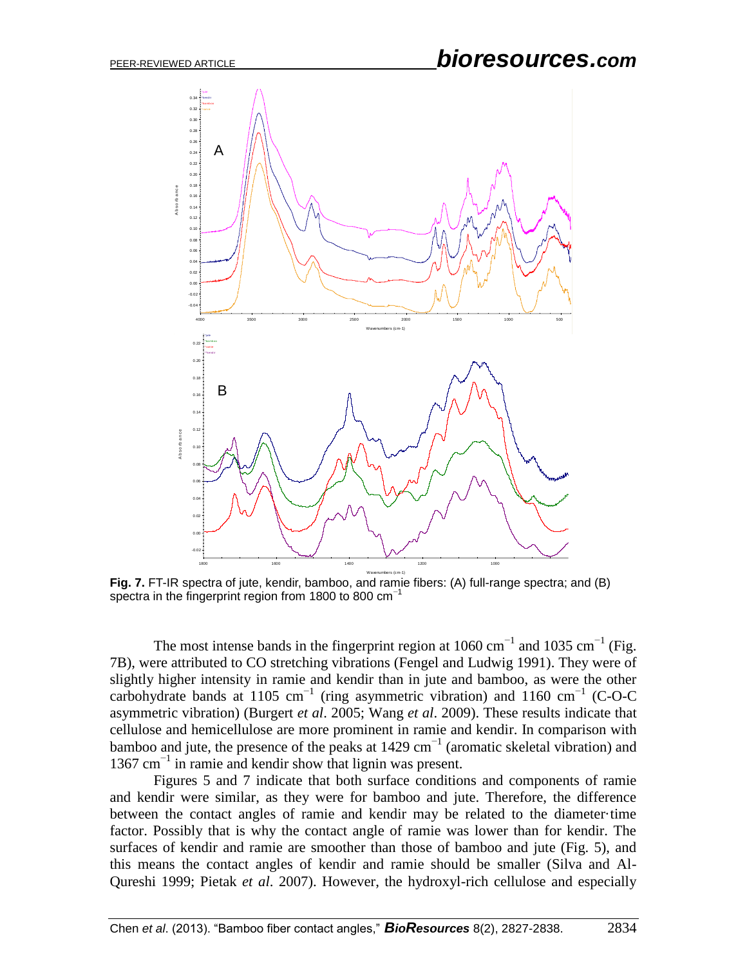# PEER-REVIEWED ARTICLE *bioresources.com*



**Fig. 7.** FT-IR spectra of jute, kendir, bamboo, and ramie fibers: (A) full-range spectra; and (B) spectra in the fingerprint region from 1800 to 800  $cm^{-1}$ 

The most intense bands in the fingerprint region at  $1060 \text{ cm}^{-1}$  and  $1035 \text{ cm}^{-1}$  (Fig. 7B), were attributed to CO stretching vibrations (Fengel and Ludwig 1991). They were of slightly higher intensity in ramie and kendir than in jute and bamboo, as were the other carbohydrate bands at 1105 cm<sup>-1</sup> (ring asymmetric vibration) and 1160 cm<sup>-1</sup> (C-O-C asymmetric vibration) (Burgert *et al*. 2005; Wang *et al*. 2009). These results indicate that cellulose and hemicellulose are more prominent in ramie and kendir. In comparison with bamboo and jute, the presence of the peaks at  $1429 \text{ cm}^{-1}$  (aromatic skeletal vibration) and 1367 cm−1 in ramie and kendir show that lignin was present.

 Figures 5 and 7 indicate that both surface conditions and components of ramie and kendir were similar, as they were for bamboo and jute. Therefore, the difference between the contact angles of ramie and kendir may be related to the diameter·time factor. Possibly that is why the contact angle of ramie was lower than for kendir. The surfaces of kendir and ramie are smoother than those of bamboo and jute (Fig. 5), and this means the contact angles of kendir and ramie should be smaller (Silva and Al-Qureshi 1999; Pietak *et al*. 2007). However, the hydroxyl-rich cellulose and especially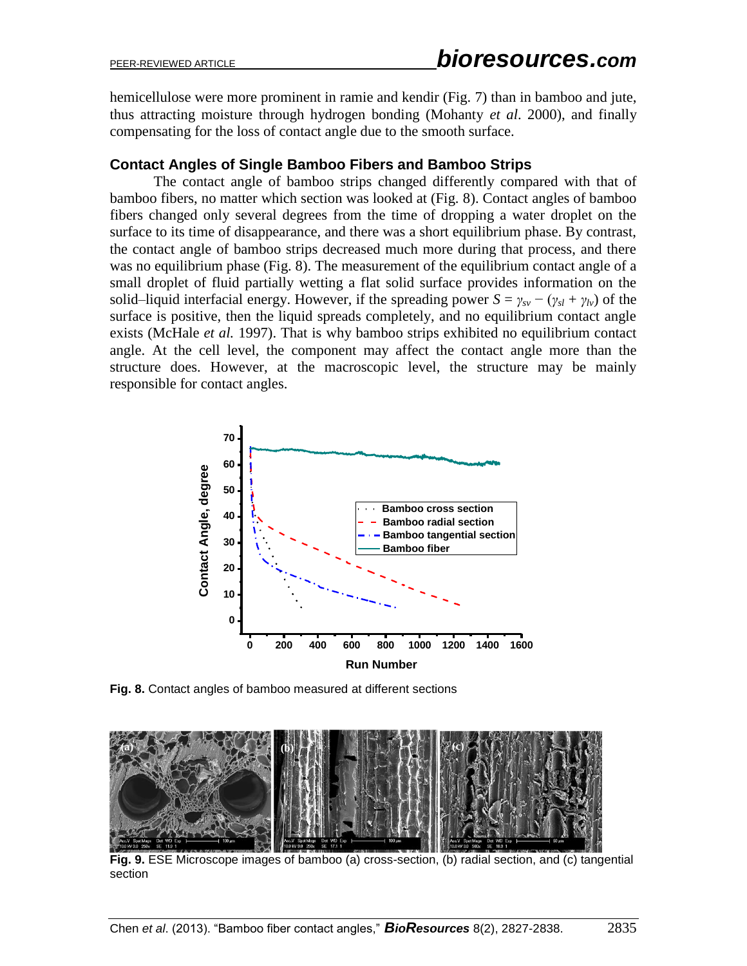hemicellulose were more prominent in ramie and kendir (Fig. 7) than in bamboo and jute, thus attracting moisture through hydrogen bonding (Mohanty *et al*. 2000), and finally compensating for the loss of contact angle due to the smooth surface.

## **Contact Angles of Single Bamboo Fibers and Bamboo Strips**

The contact angle of bamboo strips changed differently compared with that of bamboo fibers, no matter which section was looked at (Fig. 8). Contact angles of bamboo fibers changed only several degrees from the time of dropping a water droplet on the surface to its time of disappearance, and there was a short equilibrium phase. By contrast, the contact angle of bamboo strips decreased much more during that process, and there was no equilibrium phase (Fig. 8). The measurement of the equilibrium contact angle of a small droplet of fluid partially wetting a flat solid surface provides information on the solid–liquid interfacial energy. However, if the spreading power  $S = \gamma_{sv} - (\gamma_{sl} + \gamma_{lv})$  of the surface is positive, then the liquid spreads completely, and no equilibrium contact angle exists (McHale *et al.* 1997). That is why bamboo strips exhibited no equilibrium contact angle. At the cell level, the component may affect the contact angle more than the structure does. However, at the macroscopic level, the structure may be mainly responsible for contact angles.



**Fig. 8.** Contact angles of bamboo measured at different sections



**Fig. 9.** ESE Microscope images of bamboo (a) cross-section, (b) radial section, and (c) tangential section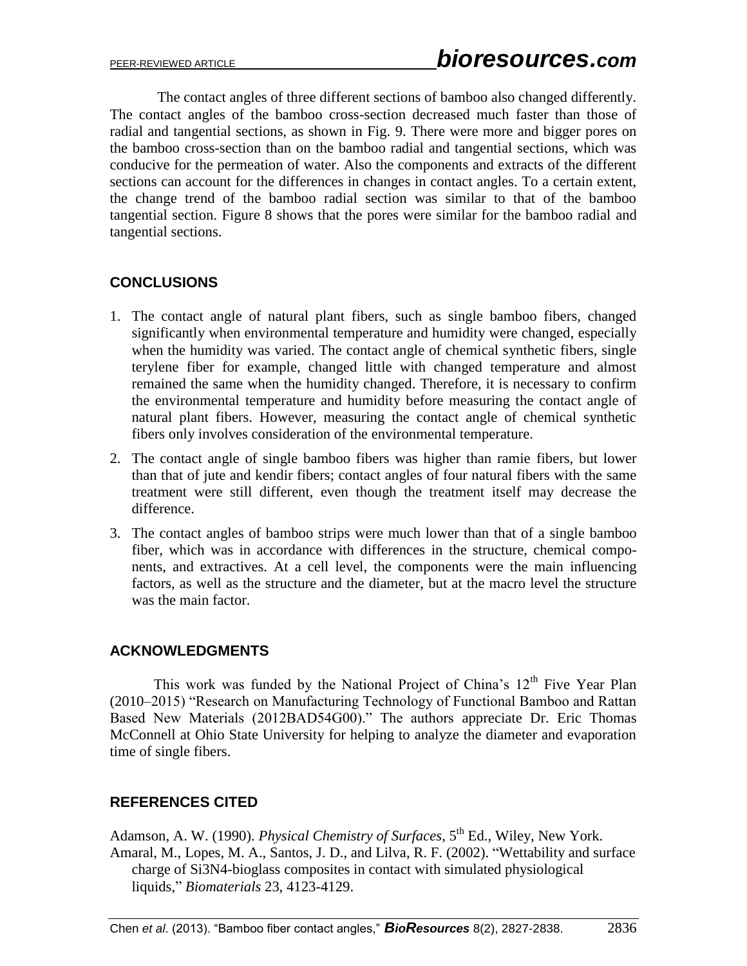The contact angles of three different sections of bamboo also changed differently. The contact angles of the bamboo cross-section decreased much faster than those of radial and tangential sections, as shown in Fig. 9. There were more and bigger pores on the bamboo cross-section than on the bamboo radial and tangential sections, which was conducive for the permeation of water. Also the components and extracts of the different sections can account for the differences in changes in contact angles. To a certain extent, the change trend of the bamboo radial section was similar to that of the bamboo tangential section. Figure 8 shows that the pores were similar for the bamboo radial and tangential sections.

# **CONCLUSIONS**

- 1. The contact angle of natural plant fibers, such as single bamboo fibers, changed significantly when environmental temperature and humidity were changed, especially when the humidity was varied. The contact angle of chemical synthetic fibers, single terylene fiber for example, changed little with changed temperature and almost remained the same when the humidity changed. Therefore, it is necessary to confirm the environmental temperature and humidity before measuring the contact angle of natural plant fibers. However, measuring the contact angle of chemical synthetic fibers only involves consideration of the environmental temperature.
- 2. The contact angle of single bamboo fibers was higher than ramie fibers, but lower than that of jute and kendir fibers; contact angles of four natural fibers with the same treatment were still different, even though the treatment itself may decrease the difference.
- 3. The contact angles of bamboo strips were much lower than that of a single bamboo fiber, which was in accordance with differences in the structure, chemical components, and extractives. At a cell level, the components were the main influencing factors, as well as the structure and the diameter, but at the macro level the structure was the main factor.

# **ACKNOWLEDGMENTS**

This work was funded by the National Project of China's  $12<sup>th</sup>$  Five Year Plan (2010–2015) "Research on Manufacturing Technology of Functional Bamboo and Rattan Based New Materials (2012BAD54G00)." The authors appreciate Dr. Eric Thomas McConnell at Ohio State University for helping to analyze the diameter and evaporation time of single fibers.

# **REFERENCES CITED**

Adamson, A. W. (1990). *Physical Chemistry of Surfaces*, 5<sup>th</sup> Ed., Wiley, New York. Amaral, M., Lopes, M. A., Santos, J. D., and Lilva, R. F. (2002). "Wettability and surface charge of Si3N4-bioglass composites in contact with simulated physiological liquids," *Biomaterials* 23, 4123-4129.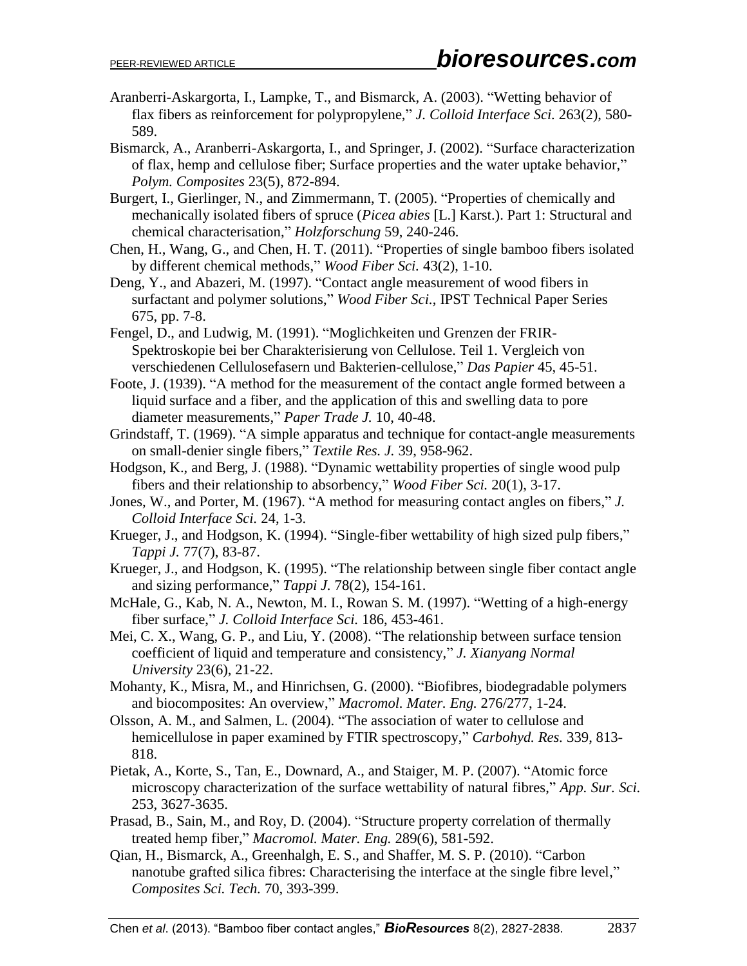- Aranberri-Askargorta, I., Lampke, T., and Bismarck, A. (2003). "Wetting behavior of flax fibers as reinforcement for polypropylene," *J. Colloid Interface Sci.* 263(2), 580- 589.
- Bismarck, A., Aranberri-Askargorta, I., and Springer, J. (2002). "Surface characterization of flax, hemp and cellulose fiber; Surface properties and the water uptake behavior," *Polym. Composites* 23(5), 872-894.
- Burgert, I., Gierlinger, N., and Zimmermann, T. (2005). "Properties of chemically and mechanically isolated fibers of spruce (*Picea abies* [L.] Karst.). Part 1: Structural and chemical characterisation," *Holzforschung* 59, 240-246.
- Chen, H., Wang, G., and Chen, H. T. (2011). "Properties of single bamboo fibers isolated by different chemical methods," *Wood Fiber Sci.* 43(2), 1-10.
- Deng, Y., and Abazeri, M. (1997). "Contact angle measurement of wood fibers in surfactant and polymer solutions," *Wood Fiber Sci.*, IPST Technical Paper Series 675, pp. 7-8.
- Fengel, D., and Ludwig, M. (1991). "Moglichkeiten und Grenzen der FRIR-Spektroskopie bei ber Charakterisierung von Cellulose. Teil 1. Vergleich von verschiedenen Cellulosefasern und Bakterien-cellulose," *Das Papier* 45, 45-51.
- Foote, J. (1939). "A method for the measurement of the contact angle formed between a liquid surface and a fiber, and the application of this and swelling data to pore diameter measurements," *Paper Trade J.* 10, 40-48.
- Grindstaff, T. (1969). "A simple apparatus and technique for contact-angle measurements on small-denier single fibers," *Textile Res. J.* 39, 958-962.
- Hodgson, K., and Berg, J. (1988). "Dynamic wettability properties of single wood pulp fibers and their relationship to absorbency," *Wood Fiber Sci.* 20(1), 3-17.
- Jones, W., and Porter, M. (1967). "A method for measuring contact angles on fibers," *J. Colloid Interface Sci.* 24, 1-3.
- Krueger, J., and Hodgson, K. (1994). "Single-fiber wettability of high sized pulp fibers," *Tappi J.* 77(7), 83-87.
- Krueger, J., and Hodgson, K. (1995). "The relationship between single fiber contact angle and sizing performance," *Tappi J.* 78(2), 154-161.
- McHale, G., Kab, N. A., Newton, M. I., Rowan S. M. (1997). "Wetting of a high-energy fiber surface," *J. Colloid Interface Sci.* 186, 453-461.
- Mei, C. X., Wang, G. P., and Liu, Y. (2008). "The relationship between surface tension coefficient of liquid and temperature and consistency," *J. Xianyang Normal University* 23(6), 21-22.
- Mohanty, K., Misra, M., and Hinrichsen, G. (2000). "Biofibres, biodegradable polymers and biocomposites: An overview," *Macromol. Mater. Eng.* 276/277, 1-24.
- Olsson, A. M., and Salmen, L. (2004). "The association of water to cellulose and hemicellulose in paper examined by FTIR spectroscopy," *Carbohyd. Res.* 339, 813- 818.
- Pietak, A., Korte, S., Tan, E., Downard, A., and Staiger, M. P. (2007). "Atomic force microscopy characterization of the surface wettability of natural fibres," *App. Sur. Sci.* 253, 3627-3635.
- Prasad, B., Sain, M., and Roy, D. (2004). "Structure property correlation of thermally treated hemp fiber," *Macromol. Mater. Eng.* 289(6), 581-592.
- Qian, H., Bismarck, A., Greenhalgh, E. S., and Shaffer, M. S. P. (2010). "Carbon nanotube grafted silica fibres: Characterising the interface at the single fibre level," *Composites Sci. Tech.* 70, 393-399.